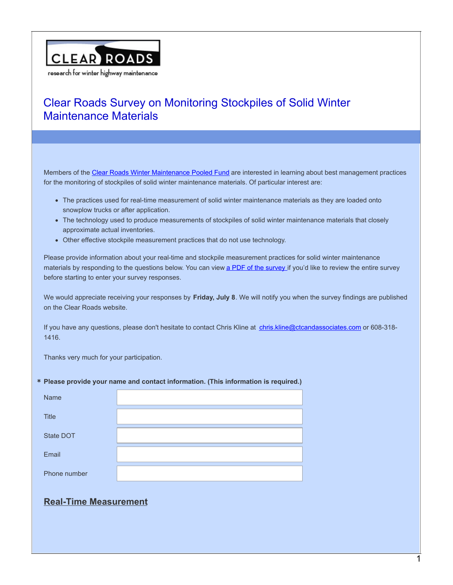

Members of the Clear Roads Winter [Maintenance](http://clearroads.org/) Pooled Fund are interested in learning about best management practices for the monitoring of stockpiles of solid winter maintenance materials. Of particular interest are:

- The practices used for real-time measurement of solid winter maintenance materials as they are loaded onto snowplow trucks or after application.
- The technology used to produce measurements of stockpiles of solid winter maintenance materials that closely approximate actual inventories.
- Other effective stockpile measurement practices that do not use technology.

Please provide information about your real-time and stockpile measurement practices for solid winter maintenance materials by responding to the questions below. You can view a PDF of the [survey](http://clearroads.org/download/survey-on-monitoring-stockpiles/) if you'd like to review the entire survey before starting to enter your survey responses.

We would appreciate receiving your responses by **Friday, July 8**. We will notify you when the survey findings are published on the Clear Roads website.

If you have any questions, please don't hesitate to contact Chris Kline at [chris.kline@ctcandassociates.com](mailto:chris.kline@ctcandassociates.com) or 608-318- 1416.

Thanks very much for your participation.

#### **\* Please provide your name and contact information. (This information is required.)**

| Name         |  |
|--------------|--|
| <b>Title</b> |  |
| State DOT    |  |
| Email        |  |
| Phone number |  |

### **Real-Time Measurement**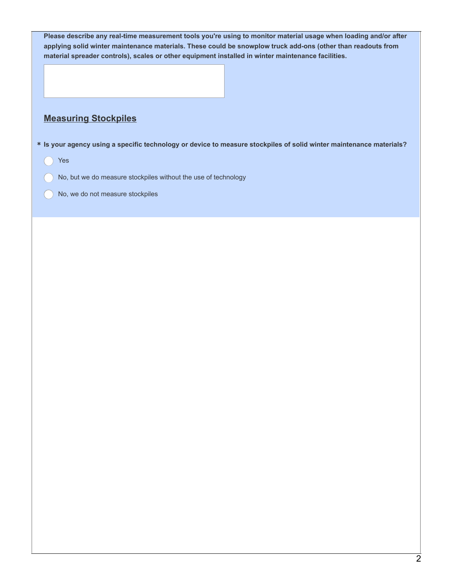| Please describe any real-time measurement tools you're using to monitor material usage when loading and/or after           |
|----------------------------------------------------------------------------------------------------------------------------|
| applying solid winter maintenance materials. These could be snowplow truck add-ons (other than readouts from               |
| material spreader controls), scales or other equipment installed in winter maintenance facilities.                         |
|                                                                                                                            |
| <b>Measuring Stockpiles</b>                                                                                                |
| * Is your agency using a specific technology or device to measure stockpiles of solid winter maintenance materials?<br>Yes |
| No, but we do measure stockpiles without the use of technology                                                             |
| No, we do not measure stockpiles                                                                                           |
|                                                                                                                            |
|                                                                                                                            |
|                                                                                                                            |
|                                                                                                                            |
|                                                                                                                            |
|                                                                                                                            |
|                                                                                                                            |
|                                                                                                                            |
|                                                                                                                            |
|                                                                                                                            |
|                                                                                                                            |
|                                                                                                                            |
|                                                                                                                            |
|                                                                                                                            |
|                                                                                                                            |
|                                                                                                                            |
|                                                                                                                            |
|                                                                                                                            |
|                                                                                                                            |
|                                                                                                                            |
|                                                                                                                            |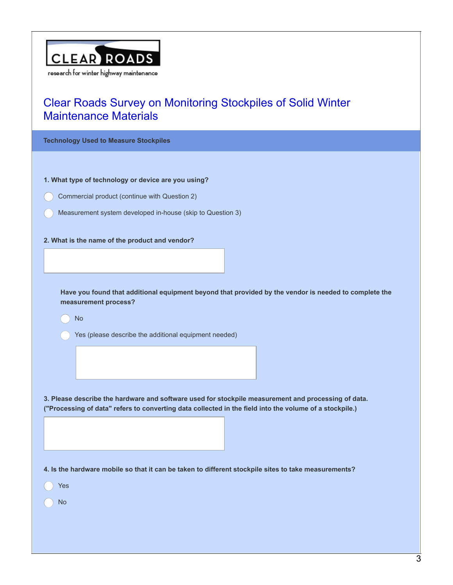

**Technology Used to Measure Stockpiles**

**1. What type of technology or device are you using?**

- Commercial product (continue with Question 2)
- Measurement system developed in-house (skip to Question 3)

#### **2. What is the name of the product and vendor?**

**Have you found that additional equipment beyond that provided by the vendor is needed to complete the measurement process?**

No

Yes (please describe the additional equipment needed)

**3. Please describe the hardware and software used for stockpile measurement and processing of data. ("Processing of data" refers to converting data collected in the field into the volume of a stockpile.)**

4. Is the hardware mobile so that it can be taken to different stockpile sites to take measurements?

Yes

No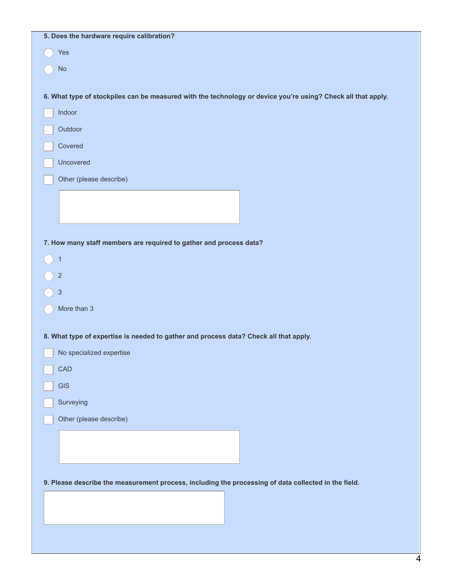| Yes                                                                                                          |
|--------------------------------------------------------------------------------------------------------------|
|                                                                                                              |
| <b>No</b>                                                                                                    |
|                                                                                                              |
| 6. What type of stockpiles can be measured with the technology or device you're using? Check all that apply. |
| Indoor                                                                                                       |
| Outdoor                                                                                                      |
| Covered                                                                                                      |
| Uncovered                                                                                                    |
| Other (please describe)                                                                                      |
|                                                                                                              |
|                                                                                                              |
|                                                                                                              |
| 7. How many staff members are required to gather and process data?                                           |
| 1                                                                                                            |
| $\overline{c}$                                                                                               |
| $\sqrt{3}$                                                                                                   |
| More than 3                                                                                                  |
|                                                                                                              |
| 8. What type of expertise is needed to gather and process data? Check all that apply.                        |
| No specialized expertise                                                                                     |
| CAD                                                                                                          |
| <b>GIS</b>                                                                                                   |
| Surveying                                                                                                    |
| Other (please describe)                                                                                      |
|                                                                                                              |
|                                                                                                              |
|                                                                                                              |
| 9. Please describe the measurement process, including the processing of data collected in the field.         |
|                                                                                                              |
|                                                                                                              |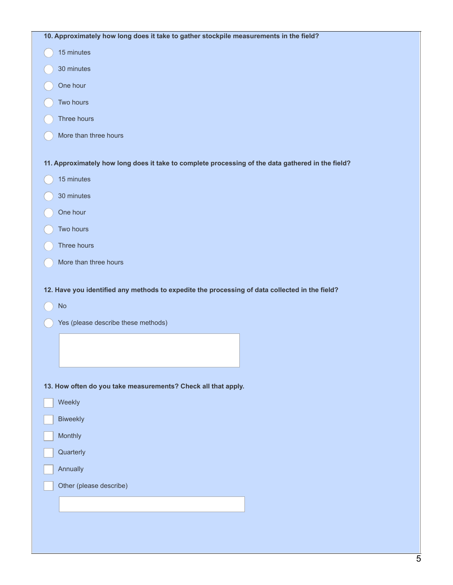| 10. Approximately how long does it take to gather stockpile measurements in the field?                                  |
|-------------------------------------------------------------------------------------------------------------------------|
| 15 minutes                                                                                                              |
| 30 minutes                                                                                                              |
| One hour                                                                                                                |
| Two hours                                                                                                               |
| Three hours                                                                                                             |
| More than three hours                                                                                                   |
| 11. Approximately how long does it take to complete processing of the data gathered in the field?                       |
| 15 minutes                                                                                                              |
| 30 minutes                                                                                                              |
| One hour                                                                                                                |
| Two hours                                                                                                               |
| Three hours                                                                                                             |
|                                                                                                                         |
| More than three hours<br>12. Have you identified any methods to expedite the processing of data collected in the field? |
| $\mathsf{No}$                                                                                                           |
| Yes (please describe these methods)                                                                                     |
|                                                                                                                         |
|                                                                                                                         |
| 13. How often do you take measurements? Check all that apply.                                                           |
| Weekly                                                                                                                  |
| <b>Biweekly</b>                                                                                                         |
| Monthly                                                                                                                 |
| Quarterly                                                                                                               |
| Annually                                                                                                                |
| Other (please describe)                                                                                                 |
|                                                                                                                         |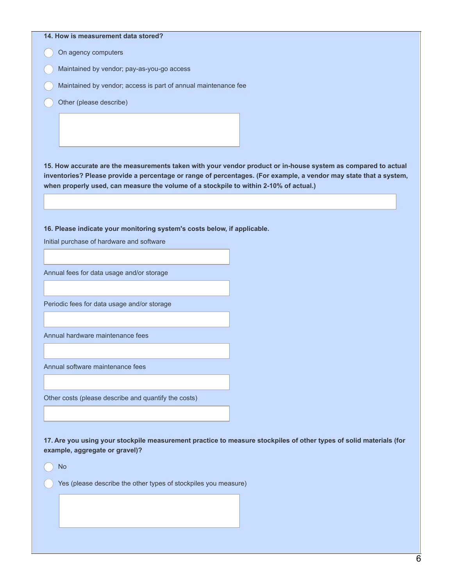### **14. How is measurement data stored?**

On agency computers

- Maintained by vendor; pay-as-you-go access
- Maintained by vendor; access is part of annual maintenance fee
- Other (please describe)

15. How accurate are the measurements taken with your vendor product or in-house system as compared to actual inventories? Please provide a percentage or range of percentages. (For example, a vendor may state that a system, **when properly used, can measure the volume of a stockpile to within 2-10% of actual.)**

**16. Please indicate your monitoring system's costs below, if applicable.**

Initial purchase of hardware and software

Annual fees for data usage and/or storage

Periodic fees for data usage and/or storage

Annual hardware maintenance fees

Annual software maintenance fees

Other costs (please describe and quantify the costs)

17. Are you using your stockpile measurement practice to measure stockpiles of other types of solid materials (for **example, aggregate or gravel)?**

No

Yes (please describe the other types of stockpiles you measure)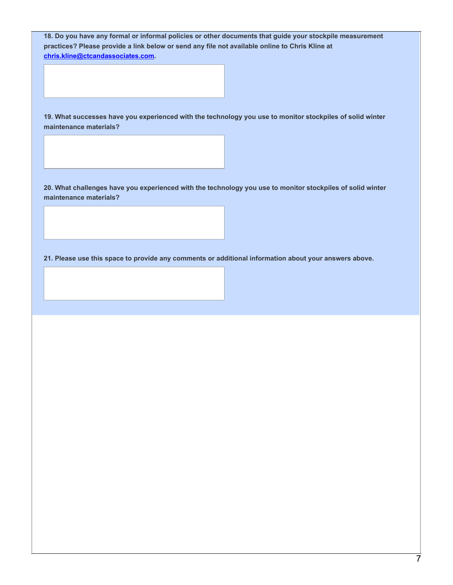**18. Do you have any formal or informal policies or other documents that guide your stockpile measurement practices? Please provide a link below or send any file not available online to Chris Kline at [chris.kline@ctcandassociates.com](mailto:chris.kline@ctcandassociates.com).**

**19. What successes have you experienced with the technology you use to monitor stockpiles of solid winter maintenance materials?**

20. What challenges have you experienced with the technology you use to monitor stockpiles of solid winter **maintenance materials?**

**21. Please use this space to provide any comments or additional information about your answers above.**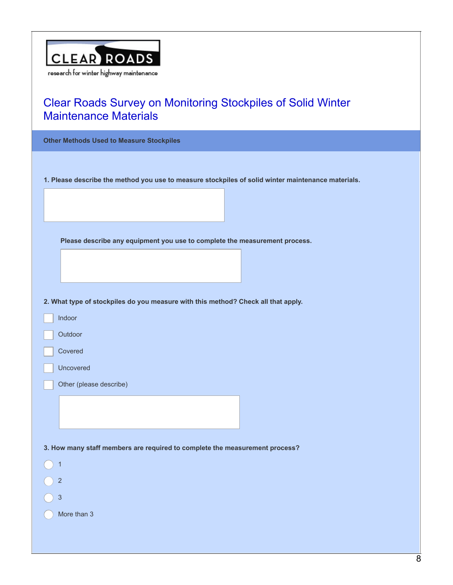

**Other Methods Used to Measure Stockpiles 1. Please describe the method you use to measure stockpiles of solid winter maintenance materials. Please describe any equipment you use to complete the measurement process. 2. What type of stockpiles do you measure with this method? Check all that apply.** Indoor

**Outdoor** 

Covered

Uncovered

Other (please describe)

**3. How many staff members are required to complete the measurement process?**

1 2 3

More than 3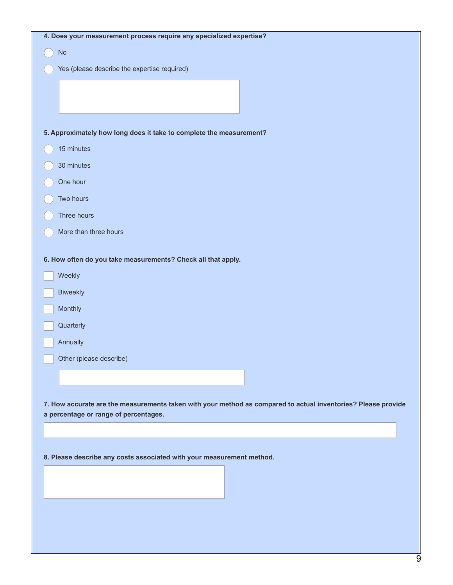| 4. Does your measurement process require any specialized expertise?                                           |
|---------------------------------------------------------------------------------------------------------------|
| $\mathsf{No}$                                                                                                 |
| Yes (please describe the expertise required)                                                                  |
|                                                                                                               |
|                                                                                                               |
|                                                                                                               |
| 5. Approximately how long does it take to complete the measurement?                                           |
| 15 minutes                                                                                                    |
| 30 minutes                                                                                                    |
| One hour                                                                                                      |
| Two hours                                                                                                     |
| Three hours                                                                                                   |
| More than three hours                                                                                         |
| 6. How often do you take measurements? Check all that apply.                                                  |
| Weekly                                                                                                        |
| <b>Biweekly</b>                                                                                               |
| Monthly                                                                                                       |
| Quarterly                                                                                                     |
| Annually                                                                                                      |
| Other (please describe)                                                                                       |
|                                                                                                               |
|                                                                                                               |
| 7. How accurate are the measurements taken with your method as compared to actual inventories? Please provide |
| a percentage or range of percentages.                                                                         |
|                                                                                                               |
|                                                                                                               |
| 8. Please describe any costs associated with your measurement method.                                         |
|                                                                                                               |
|                                                                                                               |
|                                                                                                               |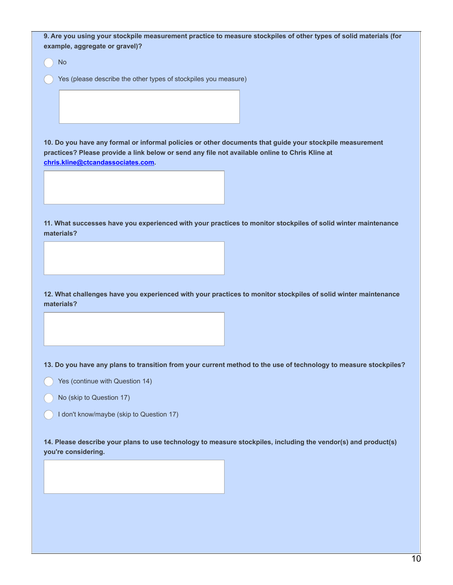9. Are you using your stockpile measurement practice to measure stockpiles of other types of solid materials (for **example, aggregate or gravel)?**

No

Yes (please describe the other types of stockpiles you measure)

**10. Do you have any formal or informal policies or other documents that guide your stockpile measurement practices? Please provide a link below or send any file not available online to Chris Kline at [chris.kline@ctcandassociates.com](mailto:chris.kline@ctcandassociates.com).**

**11. What successes have you experienced with your practices to monitor stockpiles of solid winter maintenance materials?**

**12. What challenges have you experienced with your practices to monitor stockpiles of solid winter maintenance materials?**

13. Do you have any plans to transition from your current method to the use of technology to measure stockpiles?

- Yes (continue with Question 14)
- No (skip to Question 17)
- I don't know/maybe (skip to Question 17)

**14. Please describe your plans to use technology to measure stockpiles, including the vendor(s) and product(s) you're considering.**

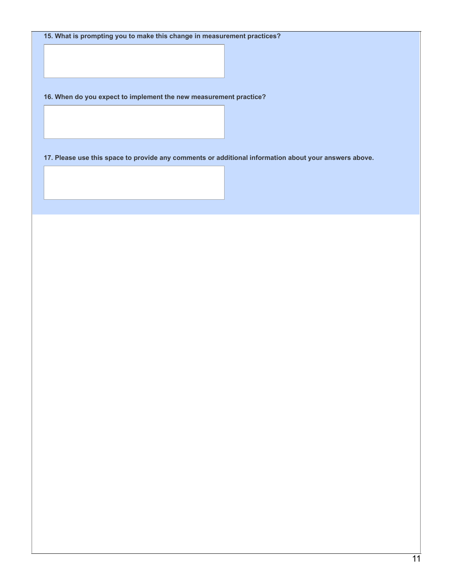**15. What is prompting you to make this change in measurement practices?**

**16. When do you expect to implement the new measurement practice?**

**17. Please use this space to provide any comments or additional information about your answers above.**